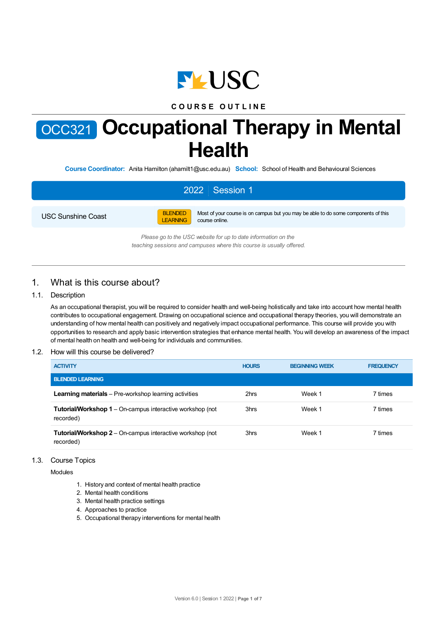

## **C O U R S E O U T L I N E**

# OCC321 **Occupational Therapy in Mental Health**

**Course Coordinator:** Anita Hamilton (ahamilt1@usc.edu.au) **School:** School of Health and Behavioural Sciences

# 2022 Session 1

USC Sunshine Coast



Most of your course is on campus but you may be able to do some components of this course online.

*Please go to the USC website for up to date information on the teaching sessions and campuses where this course is usually offered.*

## 1. What is this course about?

#### 1.1. Description

As an occupational therapist, you will be required to consider health and well-being holistically and take into account how mental health contributes to occupational engagement. Drawing on occupational science and occupational therapy theories, you will demonstrate an understanding of how mental health can positively and negatively impact occupational performance. This course will provide you with opportunities to research and apply basic intervention strategies that enhance mental health. You will develop an awareness of the impact of mental health on health and well-being for individuals and communities.

#### 1.2. How will this course be delivered?

| <b>ACTIVITY</b>                                                               | <b>HOURS</b> | <b>BEGINNING WEEK</b> | <b>FREQUENCY</b> |
|-------------------------------------------------------------------------------|--------------|-----------------------|------------------|
| <b>BLENDED LEARNING</b>                                                       |              |                       |                  |
| <b>Learning materials</b> – Pre-workshop learning activities                  | 2hrs         | Week 1                | 7 times          |
| <b>Tutorial/Workshop 1</b> – On-campus interactive workshop (not<br>recorded) | 3hrs         | Week 1                | 7 times          |
| <b>Tutorial/Workshop 2</b> – On-campus interactive workshop (not<br>recorded) | 3hrs         | Week 1                | 7 times          |

#### 1.3. Course Topics

Modules

- 1. History and context of mental health practice
- 2. Mental health conditions
- 3. Mental health practice settings
- 4. Approaches to practice
- 5. Occupational therapy interventions for mental health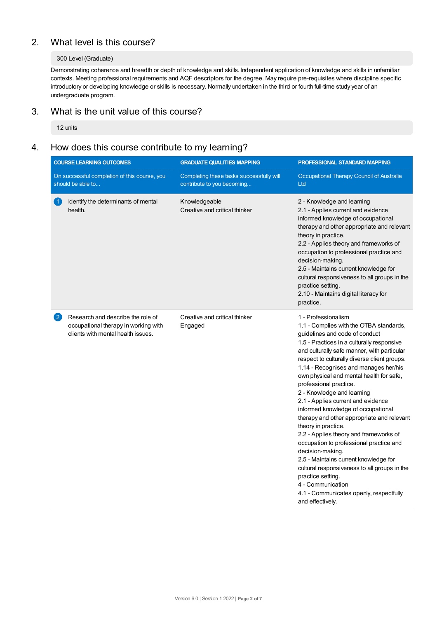# 2. What level is this course?

#### 300 Level (Graduate)

Demonstrating coherence and breadth or depth of knowledge and skills. Independent application of knowledge and skills in unfamiliar contexts. Meeting professional requirements and AQF descriptors for the degree. May require pre-requisites where discipline specific introductory or developing knowledge or skills is necessary. Normally undertaken in the third or fourth full-time study year of an undergraduate program.

# 3. What is the unit value of this course?

12 units

# 4. How does this course contribute to my learning?

|                                                                   | <b>COURSE LEARNING OUTCOMES</b>                                                                                 | <b>GRADUATE QUALITIES MAPPING</b><br>PROFESSIONAL STANDARD MAPPING     |                                                                                                                                                                                                                                                                                                                                                                                                                                                                                                                                                                                                                                                                                                                                                                                                                                                        |
|-------------------------------------------------------------------|-----------------------------------------------------------------------------------------------------------------|------------------------------------------------------------------------|--------------------------------------------------------------------------------------------------------------------------------------------------------------------------------------------------------------------------------------------------------------------------------------------------------------------------------------------------------------------------------------------------------------------------------------------------------------------------------------------------------------------------------------------------------------------------------------------------------------------------------------------------------------------------------------------------------------------------------------------------------------------------------------------------------------------------------------------------------|
| On successful completion of this course, you<br>should be able to |                                                                                                                 | Completing these tasks successfully will<br>contribute to you becoming | Occupational Therapy Council of Australia<br>Ltd                                                                                                                                                                                                                                                                                                                                                                                                                                                                                                                                                                                                                                                                                                                                                                                                       |
|                                                                   | Identify the determinants of mental<br>health.                                                                  | Knowledgeable<br>Creative and critical thinker                         | 2 - Knowledge and learning<br>2.1 - Applies current and evidence<br>informed knowledge of occupational<br>therapy and other appropriate and relevant<br>theory in practice.<br>2.2 - Applies theory and frameworks of<br>occupation to professional practice and<br>decision-making.<br>2.5 - Maintains current knowledge for<br>cultural responsiveness to all groups in the<br>practice setting.<br>2.10 - Maintains digital literacy for<br>practice.                                                                                                                                                                                                                                                                                                                                                                                               |
| $\mathbf{2}$                                                      | Research and describe the role of<br>occupational therapy in working with<br>clients with mental health issues. | Creative and critical thinker<br>Engaged                               | 1 - Professionalism<br>1.1 - Complies with the OTBA standards,<br>guidelines and code of conduct<br>1.5 - Practices in a culturally responsive<br>and culturally safe manner, with particular<br>respect to culturally diverse client groups.<br>1.14 - Recognises and manages her/his<br>own physical and mental health for safe,<br>professional practice.<br>2 - Knowledge and learning<br>2.1 - Applies current and evidence<br>informed knowledge of occupational<br>therapy and other appropriate and relevant<br>theory in practice.<br>2.2 - Applies theory and frameworks of<br>occupation to professional practice and<br>decision-making.<br>2.5 - Maintains current knowledge for<br>cultural responsiveness to all groups in the<br>practice setting.<br>4 - Communication<br>4.1 - Communicates openly, respectfully<br>and effectively. |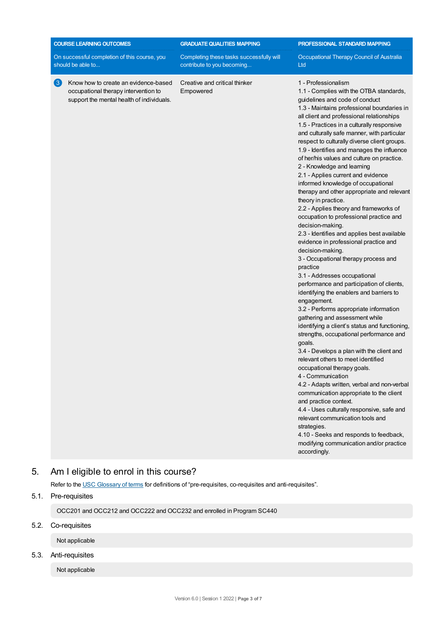| <b>COURSE LEARNING OUTCOMES</b>                                                                                                               | <b>GRADUATE QUALITIES MAPPING</b>                                      | PROFESSIONAL STANDARD MAPPING                                                                                                                                                                                                                                                                                                                                                                                                                                                                                                                                                                                                                                                                                                                                                                                                                                                                                                                                                                                                                                                                                                                                                                                                                                                                                                                                                                                                                                                                                                                                                                                                                                                           |  |
|-----------------------------------------------------------------------------------------------------------------------------------------------|------------------------------------------------------------------------|-----------------------------------------------------------------------------------------------------------------------------------------------------------------------------------------------------------------------------------------------------------------------------------------------------------------------------------------------------------------------------------------------------------------------------------------------------------------------------------------------------------------------------------------------------------------------------------------------------------------------------------------------------------------------------------------------------------------------------------------------------------------------------------------------------------------------------------------------------------------------------------------------------------------------------------------------------------------------------------------------------------------------------------------------------------------------------------------------------------------------------------------------------------------------------------------------------------------------------------------------------------------------------------------------------------------------------------------------------------------------------------------------------------------------------------------------------------------------------------------------------------------------------------------------------------------------------------------------------------------------------------------------------------------------------------------|--|
| On successful completion of this course, you<br>should be able to                                                                             | Completing these tasks successfully will<br>contribute to you becoming | Occupational Therapy Council of Australia<br>Ltd                                                                                                                                                                                                                                                                                                                                                                                                                                                                                                                                                                                                                                                                                                                                                                                                                                                                                                                                                                                                                                                                                                                                                                                                                                                                                                                                                                                                                                                                                                                                                                                                                                        |  |
| $\left(3\right)$<br>Know how to create an evidence-based<br>occupational therapy intervention to<br>support the mental health of individuals. | Creative and critical thinker<br>Empowered                             | 1 - Professionalism<br>1.1 - Complies with the OTBA standards,<br>guidelines and code of conduct<br>1.3 - Maintains professional boundaries in<br>all client and professional relationships<br>1.5 - Practices in a culturally responsive<br>and culturally safe manner, with particular<br>respect to culturally diverse client groups.<br>1.9 - Identifies and manages the influence<br>of her/his values and culture on practice.<br>2 - Knowledge and learning<br>2.1 - Applies current and evidence<br>informed knowledge of occupational<br>therapy and other appropriate and relevant<br>theory in practice.<br>2.2 - Applies theory and frameworks of<br>occupation to professional practice and<br>decision-making.<br>2.3 - Identifies and applies best available<br>evidence in professional practice and<br>decision-making.<br>3 - Occupational therapy process and<br>practice<br>3.1 - Addresses occupational<br>performance and participation of clients,<br>identifying the enablers and barriers to<br>engagement.<br>3.2 - Performs appropriate information<br>gathering and assessment while<br>identifying a client's status and functioning,<br>strengths, occupational performance and<br>goals.<br>3.4 - Develops a plan with the client and<br>relevant others to meet identified<br>occupational therapy goals.<br>4 - Communication<br>4.2 - Adapts written, verbal and non-verbal<br>communication appropriate to the client<br>and practice context.<br>4.4 - Uses culturally responsive, safe and<br>relevant communication tools and<br>strategies.<br>4.10 - Seeks and responds to feedback,<br>modifying communication and/or practice<br>accordingly. |  |

# 5. Am Ieligible to enrol in this course?

Refer to the USC [Glossary](https://www.usc.edu.au/about/policies-and-procedures/glossary-of-terms-for-policy-and-procedures) of terms for definitions of "pre-requisites, co-requisites and anti-requisites".

## 5.1. Pre-requisites

OCC201 and OCC212 and OCC222 and OCC232 and enrolled in Program SC440

## 5.2. Co-requisites

Not applicable

## 5.3. Anti-requisites

Not applicable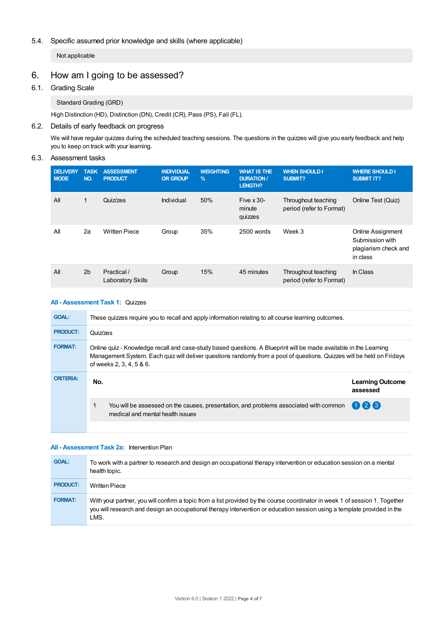#### 5.4. Specific assumed prior knowledge and skills (where applicable)

Not applicable

# 6. How am Igoing to be assessed?

#### 6.1. Grading Scale

Standard Grading (GRD)

High Distinction (HD), Distinction (DN), Credit (CR), Pass (PS), Fail (FL).

#### 6.2. Details of early feedback on progress

We will have regular quizzes during the scheduled teaching sessions. The questions in the quizzes will give you early feedback and help you to keep on track with your learning.

#### 6.3. Assessment tasks

| <b>DELIVERY</b><br><b>MODE</b> | <b>TASK</b><br>NO. | <b>ASSESSMENT</b><br><b>PRODUCT</b>     | <b>INDIVIDUAL</b><br><b>OR GROUP</b> | <b>WEIGHTING</b><br>$\%$ | <b>WHAT IS THE</b><br><b>DURATION/</b><br><b>LENGTH?</b> | <b>WHEN SHOULD I</b><br>SUBMIT?                 | <b>WHERE SHOULD I</b><br><b>SUBMIT IT?</b>                                      |
|--------------------------------|--------------------|-----------------------------------------|--------------------------------------|--------------------------|----------------------------------------------------------|-------------------------------------------------|---------------------------------------------------------------------------------|
| All                            | 1                  | Quiz/zes                                | Individual                           | 50%                      | Five $\times$ 30-<br>minute<br>quizzes                   | Throughout teaching<br>period (refer to Format) | Online Test (Quiz)                                                              |
| All                            | 2a                 | <b>Written Piece</b>                    | Group                                | 35%                      | 2500 words                                               | Week 3                                          | <b>Online Assignment</b><br>Submission with<br>plagiarism check and<br>in class |
| All                            | 2 <sub>b</sub>     | Practical /<br><b>Laboratory Skills</b> | Group                                | 15%                      | 45 minutes                                               | Throughout teaching<br>period (refer to Format) | In Class                                                                        |

#### **All - Assessment Task 1:** Quizzes

| <b>GOAL:</b>     | These quizzes require you to recall and apply information relating to all course learning outcomes.                                                                                                                                                                     |                                     |  |  |  |
|------------------|-------------------------------------------------------------------------------------------------------------------------------------------------------------------------------------------------------------------------------------------------------------------------|-------------------------------------|--|--|--|
| <b>PRODUCT:</b>  | Quiz/zes                                                                                                                                                                                                                                                                |                                     |  |  |  |
| <b>FORMAT:</b>   | Online quiz - Knowledge recall and case-study based questions. A Blueprint will be made available in the Learning<br>Management System. Each quiz will deliver questions randomly from a pool of questions. Quizzes will be held on Fridays<br>of weeks 2, 3, 4, 5 & 6. |                                     |  |  |  |
| <b>CRITERIA:</b> | No.                                                                                                                                                                                                                                                                     | <b>Learning Outcome</b><br>assessed |  |  |  |
|                  | You will be assessed on the causes, presentation, and problems associated with common<br>medical and mental health issues                                                                                                                                               | 026                                 |  |  |  |
|                  |                                                                                                                                                                                                                                                                         |                                     |  |  |  |

#### **All - Assessment Task 2a:** Intervention Plan

| <b>GOAL:</b>    | To work with a partner to research and design an occupational therapy intervention or education session on a mental<br>health topic.                                                                                                                           |
|-----------------|----------------------------------------------------------------------------------------------------------------------------------------------------------------------------------------------------------------------------------------------------------------|
| <b>PRODUCT:</b> | <b>Written Piece</b>                                                                                                                                                                                                                                           |
| <b>FORMAT:</b>  | With your partner, you will confirm a topic from a list provided by the course coordinator in week 1 of session 1. Together<br>you will research and design an occupational therapy intervention or education session using a template provided in the<br>LMS. |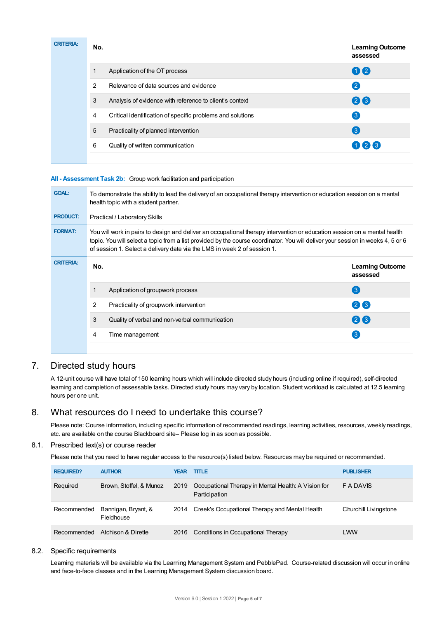| <b>CRITERIA:</b> | No.            |                                                            | <b>Learning Outcome</b><br>assessed |
|------------------|----------------|------------------------------------------------------------|-------------------------------------|
|                  |                | Application of the OT process                              | 02                                  |
|                  | $\overline{2}$ | Relevance of data sources and evidence                     | $\mathbf{C}$                        |
|                  | 3              | Analysis of evidence with reference to client's context    | 26                                  |
|                  | 4              | Critical identification of specific problems and solutions | $\left(3\right)$                    |
|                  | 5              | Practicality of planned intervention                       | $\left(3\right)$                    |
|                  | 6              | Quality of written communication                           | $(1)$ (2) (3)                       |
|                  |                |                                                            |                                     |

#### **All - Assessment Task 2b:** Group work facilitation and participation

| <b>GOAL:</b>     | To demonstrate the ability to lead the delivery of an occupational therapy intervention or education session on a mental<br>health topic with a student partner.                                                                                                                                                                         |                                     |  |  |  |  |
|------------------|------------------------------------------------------------------------------------------------------------------------------------------------------------------------------------------------------------------------------------------------------------------------------------------------------------------------------------------|-------------------------------------|--|--|--|--|
| <b>PRODUCT:</b>  | Practical / Laboratory Skills                                                                                                                                                                                                                                                                                                            |                                     |  |  |  |  |
| <b>FORMAT:</b>   | You will work in pairs to design and deliver an occupational therapy intervention or education session on a mental health<br>topic. You will select a topic from a list provided by the course coordinator. You will deliver your session in weeks 4, 5 or 6<br>of session 1. Select a delivery date via the LMS in week 2 of session 1. |                                     |  |  |  |  |
| <b>CRITERIA:</b> | No.                                                                                                                                                                                                                                                                                                                                      | <b>Learning Outcome</b><br>assessed |  |  |  |  |
|                  | Application of groupwork process                                                                                                                                                                                                                                                                                                         | $\left( 3\right)$                   |  |  |  |  |
|                  | 2<br>Practicality of groupwork intervention                                                                                                                                                                                                                                                                                              | (213)                               |  |  |  |  |
|                  | 3<br>Quality of verbal and non-verbal communication                                                                                                                                                                                                                                                                                      | 26                                  |  |  |  |  |
|                  | Time management<br>4                                                                                                                                                                                                                                                                                                                     | 3                                   |  |  |  |  |
|                  |                                                                                                                                                                                                                                                                                                                                          |                                     |  |  |  |  |

## 7. Directed study hours

A 12-unit course will have total of 150 learning hours which will include directed study hours (including online if required), self-directed learning and completion of assessable tasks. Directed study hours may vary by location. Student workload is calculated at 12.5 learning hours per one unit.

### 8. What resources do I need to undertake this course?

Please note: Course information, including specific information of recommended readings, learning activities, resources, weekly readings, etc. are available on the course Blackboard site– Please log in as soon as possible.

#### 8.1. Prescribed text(s) or course reader

Please note that you need to have regular access to the resource(s) listed below. Resources may be required or recommended.

| <b>REQUIRED?</b> | <b>AUTHOR</b>                     | YEAR | <b>TITLE</b>                                                         | <b>PUBLISHER</b>      |
|------------------|-----------------------------------|------|----------------------------------------------------------------------|-----------------------|
| Required         | Brown, Stoffel, & Munoz           | 2019 | Occupational Therapy in Mental Health: A Vision for<br>Participation | F A DAVIS             |
| Recommended      | Bannigan, Bryant, &<br>Fieldhouse |      | 2014 Creek's Occupational Therapy and Mental Health                  | Churchill Livingstone |
| Recommended      | Atchison & Dirette                | 2016 | Conditions in Occupational Therapy                                   | LWW                   |

#### 8.2. Specific requirements

Learning materials will be available via the Learning Management System and PebblePad. Course-related discussion will occur in online and face-to-face classes and in the Learning Management System discussion board.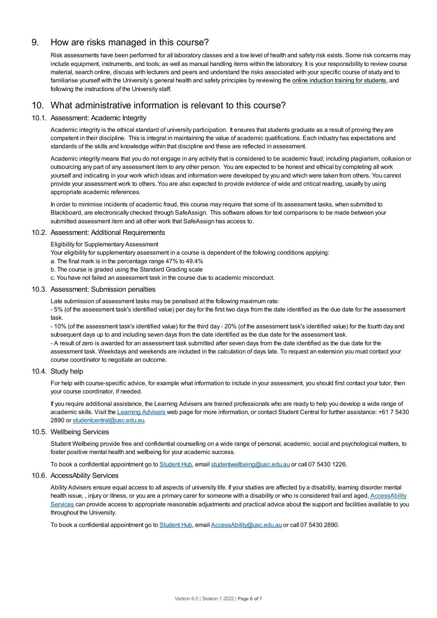## 9. How are risks managed in this course?

Risk assessments have been performed for all laboratory classes and a low level of health and safety risk exists. Some risk concerns may include equipment, instruments, and tools; as well as manual handling items within the laboratory. It is your responsibility to review course material, search online, discuss with lecturers and peers and understand the risks associated with your specific course of study and to familiarise yourself with the University's general health and safety principles by reviewing the online [induction](https://online.usc.edu.au/webapps/blackboard/content/listContentEditable.jsp?content_id=_632657_1&course_id=_14432_1) training for students, and following the instructions of the University staff.

# 10. What administrative information is relevant to this course?

#### 10.1. Assessment: Academic Integrity

Academic integrity is the ethical standard of university participation. It ensures that students graduate as a result of proving they are competent in their discipline. This is integral in maintaining the value of academic qualifications. Each industry has expectations and standards of the skills and knowledge within that discipline and these are reflected in assessment.

Academic integrity means that you do not engage in any activity that is considered to be academic fraud; including plagiarism, collusion or outsourcing any part of any assessment item to any other person. You are expected to be honest and ethical by completing all work yourself and indicating in your work which ideas and information were developed by you and which were taken from others. You cannot provide your assessment work to others.You are also expected to provide evidence of wide and critical reading, usually by using appropriate academic references.

In order to minimise incidents of academic fraud, this course may require that some of its assessment tasks, when submitted to Blackboard, are electronically checked through SafeAssign. This software allows for text comparisons to be made between your submitted assessment item and all other work that SafeAssign has access to.

#### 10.2. Assessment: Additional Requirements

Eligibility for Supplementary Assessment

- Your eligibility for supplementary assessment in a course is dependent of the following conditions applying:
- a. The final mark is in the percentage range 47% to 49.4%
- b. The course is graded using the Standard Grading scale
- c. You have not failed an assessment task in the course due to academic misconduct.

#### 10.3. Assessment: Submission penalties

Late submission of assessment tasks may be penalised at the following maximum rate:

- 5% (of the assessment task's identified value) per day for the first two days from the date identified as the due date for the assessment task.

- 10% (of the assessment task's identified value) for the third day - 20% (of the assessment task's identified value) for the fourth day and subsequent days up to and including seven days from the date identified as the due date for the assessment task.

- A result of zero is awarded for an assessment task submitted after seven days from the date identified as the due date for the assessment task. Weekdays and weekends are included in the calculation of days late. To request an extension you must contact your course coordinator to negotiate an outcome.

#### 10.4. Study help

For help with course-specific advice, for example what information to include in your assessment, you should first contact your tutor, then your course coordinator, if needed.

If you require additional assistance, the Learning Advisers are trained professionals who are ready to help you develop a wide range of academic skills. Visit the Learning [Advisers](https://www.usc.edu.au/current-students/student-support/academic-and-study-support/learning-advisers) web page for more information, or contact Student Central for further assistance: +61 7 5430 2890 or [studentcentral@usc.edu.au](mailto:studentcentral@usc.edu.au).

#### 10.5. Wellbeing Services

Student Wellbeing provide free and confidential counselling on a wide range of personal, academic, social and psychological matters, to foster positive mental health and wellbeing for your academic success.

To book a confidential appointment go to [Student](https://studenthub.usc.edu.au/) Hub, email [studentwellbeing@usc.edu.au](mailto:studentwellbeing@usc.edu.au) or call 07 5430 1226.

#### 10.6. AccessAbility Services

Ability Advisers ensure equal access to all aspects of university life. If your studies are affected by a disability, learning disorder mental health issue, , injury or illness, or you are a primary carer for someone with a disability or who is considered frail and aged, [AccessAbility](https://www.usc.edu.au/learn/student-support/accessability-services/documentation-requirements) Services can provide access to appropriate reasonable adjustments and practical advice about the support and facilities available to you throughout the University.

To book a confidential appointment go to [Student](https://studenthub.usc.edu.au/) Hub, email [AccessAbility@usc.edu.au](mailto:AccessAbility@usc.edu.au) or call 07 5430 2890.